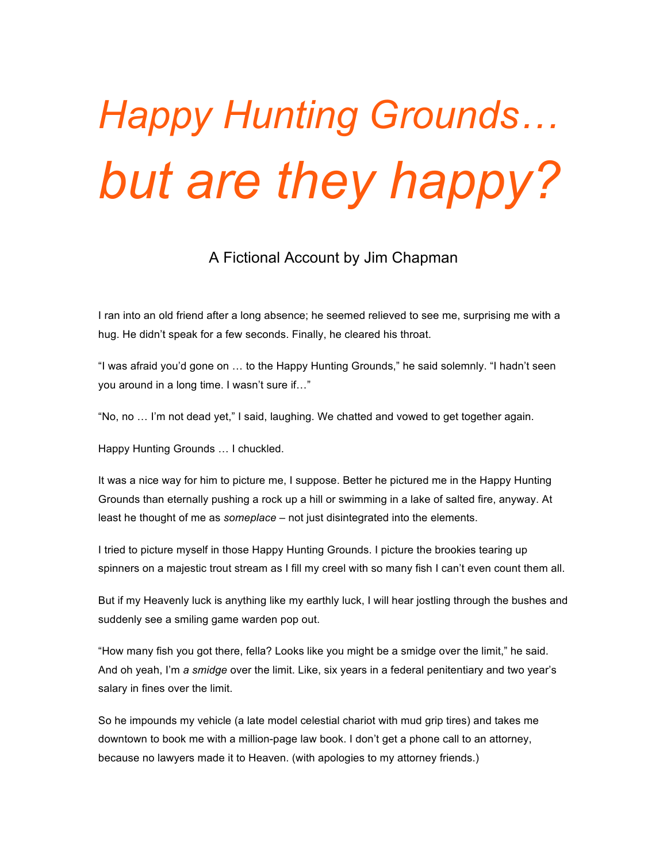## *Happy Hunting Grounds… but are they happy?*

A Fictional Account by Jim Chapman

I ran into an old friend after a long absence; he seemed relieved to see me, surprising me with a hug. He didn't speak for a few seconds. Finally, he cleared his throat.

"I was afraid you'd gone on … to the Happy Hunting Grounds," he said solemnly. "I hadn't seen you around in a long time. I wasn't sure if…"

"No, no … I'm not dead yet," I said, laughing. We chatted and vowed to get together again.

Happy Hunting Grounds … I chuckled.

It was a nice way for him to picture me, I suppose. Better he pictured me in the Happy Hunting Grounds than eternally pushing a rock up a hill or swimming in a lake of salted fire, anyway. At least he thought of me as *someplace* – not just disintegrated into the elements.

I tried to picture myself in those Happy Hunting Grounds. I picture the brookies tearing up spinners on a majestic trout stream as I fill my creel with so many fish I can't even count them all.

But if my Heavenly luck is anything like my earthly luck, I will hear jostling through the bushes and suddenly see a smiling game warden pop out.

"How many fish you got there, fella? Looks like you might be a smidge over the limit," he said. And oh yeah, I'm *a smidge* over the limit. Like, six years in a federal penitentiary and two year's salary in fines over the limit.

So he impounds my vehicle (a late model celestial chariot with mud grip tires) and takes me downtown to book me with a million-page law book. I don't get a phone call to an attorney, because no lawyers made it to Heaven. (with apologies to my attorney friends.)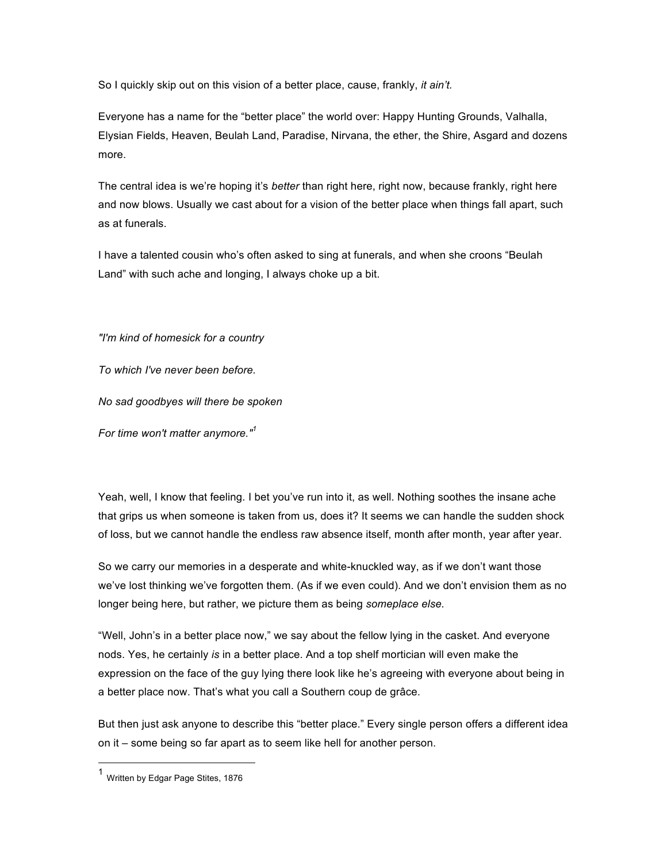So I quickly skip out on this vision of a better place, cause, frankly, *it ain't.*

Everyone has a name for the "better place" the world over: Happy Hunting Grounds, Valhalla, Elysian Fields, Heaven, Beulah Land, Paradise, Nirvana, the ether, the Shire, Asgard and dozens more.

The central idea is we're hoping it's *better* than right here, right now, because frankly, right here and now blows. Usually we cast about for a vision of the better place when things fall apart, such as at funerals.

I have a talented cousin who's often asked to sing at funerals, and when she croons "Beulah Land" with such ache and longing, I always choke up a bit.

*"I'm kind of homesick for a country*

*To which I've never been before.*

*No sad goodbyes will there be spoken*

*For time won't matter anymore."<sup>1</sup>*

Yeah, well, I know that feeling. I bet you've run into it, as well. Nothing soothes the insane ache that grips us when someone is taken from us, does it? It seems we can handle the sudden shock of loss, but we cannot handle the endless raw absence itself, month after month, year after year.

So we carry our memories in a desperate and white-knuckled way, as if we don't want those we've lost thinking we've forgotten them. (As if we even could). And we don't envision them as no longer being here, but rather, we picture them as being *someplace else.*

"Well, John's in a better place now," we say about the fellow lying in the casket. And everyone nods. Yes, he certainly *is* in a better place. And a top shelf mortician will even make the expression on the face of the guy lying there look like he's agreeing with everyone about being in a better place now. That's what you call a Southern coup de grâce.

But then just ask anyone to describe this "better place." Every single person offers a different idea on it – some being so far apart as to seem like hell for another person.

Written by Edgar Page Stites, 1876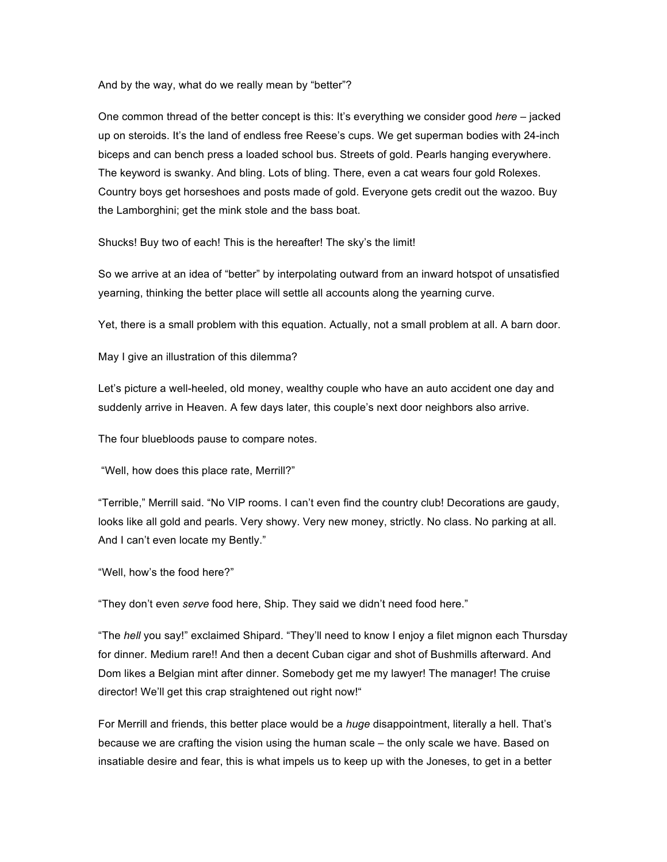And by the way, what do we really mean by "better"?

One common thread of the better concept is this: It's everything we consider good *here* – jacked up on steroids. It's the land of endless free Reese's cups. We get superman bodies with 24-inch biceps and can bench press a loaded school bus. Streets of gold. Pearls hanging everywhere. The keyword is swanky. And bling. Lots of bling. There, even a cat wears four gold Rolexes. Country boys get horseshoes and posts made of gold. Everyone gets credit out the wazoo. Buy the Lamborghini; get the mink stole and the bass boat.

Shucks! Buy two of each! This is the hereafter! The sky's the limit!

So we arrive at an idea of "better" by interpolating outward from an inward hotspot of unsatisfied yearning, thinking the better place will settle all accounts along the yearning curve.

Yet, there is a small problem with this equation. Actually, not a small problem at all. A barn door.

May I give an illustration of this dilemma?

Let's picture a well-heeled, old money, wealthy couple who have an auto accident one day and suddenly arrive in Heaven. A few days later, this couple's next door neighbors also arrive.

The four bluebloods pause to compare notes.

"Well, how does this place rate, Merrill?"

"Terrible," Merrill said. "No VIP rooms. I can't even find the country club! Decorations are gaudy, looks like all gold and pearls. Very showy. Very new money, strictly. No class. No parking at all. And I can't even locate my Bently."

"Well, how's the food here?"

"They don't even *serve* food here, Ship. They said we didn't need food here."

"The *hell* you say!" exclaimed Shipard. "They'll need to know I enjoy a filet mignon each Thursday for dinner. Medium rare!! And then a decent Cuban cigar and shot of Bushmills afterward. And Dom likes a Belgian mint after dinner. Somebody get me my lawyer! The manager! The cruise director! We'll get this crap straightened out right now!"

For Merrill and friends, this better place would be a *huge* disappointment, literally a hell. That's because we are crafting the vision using the human scale – the only scale we have. Based on insatiable desire and fear, this is what impels us to keep up with the Joneses, to get in a better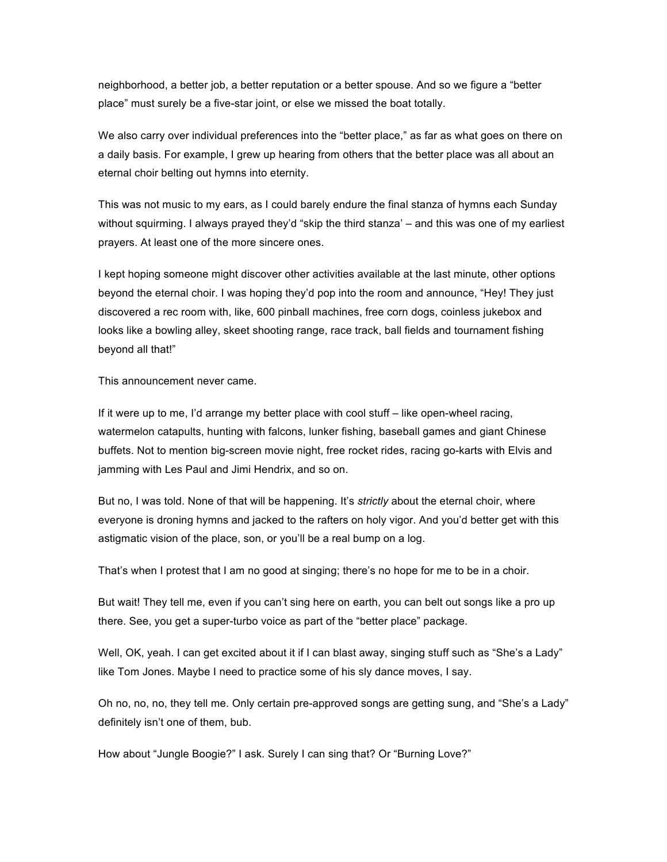neighborhood, a better job, a better reputation or a better spouse. And so we figure a "better place" must surely be a five-star joint, or else we missed the boat totally.

We also carry over individual preferences into the "better place," as far as what goes on there on a daily basis. For example, I grew up hearing from others that the better place was all about an eternal choir belting out hymns into eternity.

This was not music to my ears, as I could barely endure the final stanza of hymns each Sunday without squirming. I always prayed they'd "skip the third stanza' – and this was one of my earliest prayers. At least one of the more sincere ones.

I kept hoping someone might discover other activities available at the last minute, other options beyond the eternal choir. I was hoping they'd pop into the room and announce, "Hey! They just discovered a rec room with, like, 600 pinball machines, free corn dogs, coinless jukebox and looks like a bowling alley, skeet shooting range, race track, ball fields and tournament fishing beyond all that!"

This announcement never came.

If it were up to me, I'd arrange my better place with cool stuff – like open-wheel racing, watermelon catapults, hunting with falcons, lunker fishing, baseball games and giant Chinese buffets. Not to mention big-screen movie night, free rocket rides, racing go-karts with Elvis and jamming with Les Paul and Jimi Hendrix, and so on.

But no, I was told. None of that will be happening. It's *strictly* about the eternal choir, where everyone is droning hymns and jacked to the rafters on holy vigor. And you'd better get with this astigmatic vision of the place, son, or you'll be a real bump on a log.

That's when I protest that I am no good at singing; there's no hope for me to be in a choir.

But wait! They tell me, even if you can't sing here on earth, you can belt out songs like a pro up there. See, you get a super-turbo voice as part of the "better place" package.

Well, OK, yeah. I can get excited about it if I can blast away, singing stuff such as "She's a Lady" like Tom Jones. Maybe I need to practice some of his sly dance moves, I say.

Oh no, no, no, they tell me. Only certain pre-approved songs are getting sung, and "She's a Lady" definitely isn't one of them, bub.

How about "Jungle Boogie?" I ask. Surely I can sing that? Or "Burning Love?"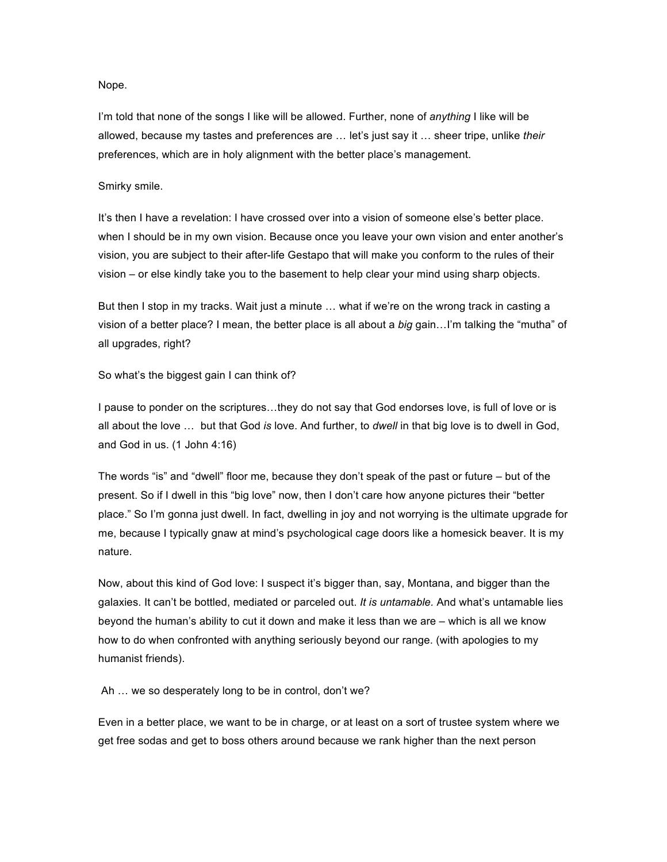## Nope.

I'm told that none of the songs I like will be allowed. Further, none of *anything* I like will be allowed, because my tastes and preferences are … let's just say it … sheer tripe, unlike *their* preferences, which are in holy alignment with the better place's management.

## Smirky smile.

It's then I have a revelation: I have crossed over into a vision of someone else's better place. when I should be in my own vision. Because once you leave your own vision and enter another's vision, you are subject to their after-life Gestapo that will make you conform to the rules of their vision – or else kindly take you to the basement to help clear your mind using sharp objects.

But then I stop in my tracks. Wait just a minute … what if we're on the wrong track in casting a vision of a better place? I mean, the better place is all about a *big* gain…I'm talking the "mutha" of all upgrades, right?

So what's the biggest gain I can think of?

I pause to ponder on the scriptures…they do not say that God endorses love, is full of love or is all about the love … but that God *is* love. And further, to *dwell* in that big love is to dwell in God, and God in us. (1 John 4:16)

The words "is" and "dwell" floor me, because they don't speak of the past or future – but of the present. So if I dwell in this "big love" now, then I don't care how anyone pictures their "better place." So I'm gonna just dwell. In fact, dwelling in joy and not worrying is the ultimate upgrade for me, because I typically gnaw at mind's psychological cage doors like a homesick beaver. It is my nature.

Now, about this kind of God love: I suspect it's bigger than, say, Montana, and bigger than the galaxies. It can't be bottled, mediated or parceled out. *It is untamable.* And what's untamable lies beyond the human's ability to cut it down and make it less than we are – which is all we know how to do when confronted with anything seriously beyond our range. (with apologies to my humanist friends).

Ah … we so desperately long to be in control, don't we?

Even in a better place, we want to be in charge, or at least on a sort of trustee system where we get free sodas and get to boss others around because we rank higher than the next person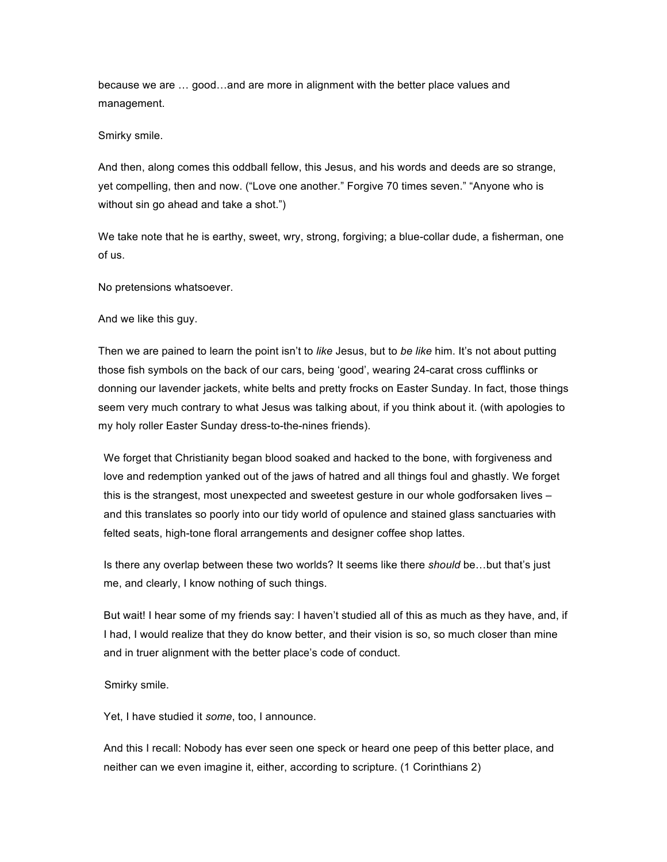because we are … good…and are more in alignment with the better place values and management.

Smirky smile.

And then, along comes this oddball fellow, this Jesus, and his words and deeds are so strange, yet compelling, then and now. ("Love one another." Forgive 70 times seven." "Anyone who is without sin go ahead and take a shot.")

We take note that he is earthy, sweet, wry, strong, forgiving; a blue-collar dude, a fisherman, one of us.

No pretensions whatsoever.

And we like this guy.

Then we are pained to learn the point isn't to *like* Jesus, but to *be like* him. It's not about putting those fish symbols on the back of our cars, being 'good', wearing 24-carat cross cufflinks or donning our lavender jackets, white belts and pretty frocks on Easter Sunday. In fact, those things seem very much contrary to what Jesus was talking about, if you think about it. (with apologies to my holy roller Easter Sunday dress-to-the-nines friends).

We forget that Christianity began blood soaked and hacked to the bone, with forgiveness and love and redemption yanked out of the jaws of hatred and all things foul and ghastly. We forget this is the strangest, most unexpected and sweetest gesture in our whole godforsaken lives – and this translates so poorly into our tidy world of opulence and stained glass sanctuaries with felted seats, high-tone floral arrangements and designer coffee shop lattes.

Is there any overlap between these two worlds? It seems like there *should* be…but that's just me, and clearly, I know nothing of such things.

But wait! I hear some of my friends say: I haven't studied all of this as much as they have, and, if I had, I would realize that they do know better, and their vision is so, so much closer than mine and in truer alignment with the better place's code of conduct.

Smirky smile.

Yet, I have studied it *some*, too, I announce.

And this I recall: Nobody has ever seen one speck or heard one peep of this better place, and neither can we even imagine it, either, according to scripture. (1 Corinthians 2)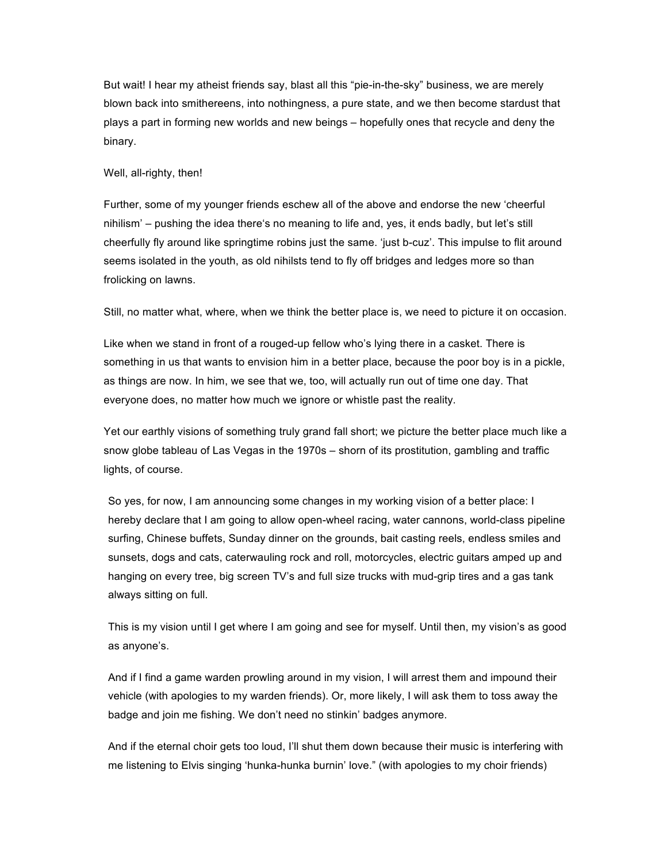But wait! I hear my atheist friends say, blast all this "pie-in-the-sky" business, we are merely blown back into smithereens, into nothingness, a pure state, and we then become stardust that plays a part in forming new worlds and new beings – hopefully ones that recycle and deny the binary.

## Well, all-righty, then!

Further, some of my younger friends eschew all of the above and endorse the new 'cheerful nihilism' – pushing the idea there's no meaning to life and, yes, it ends badly, but let's still cheerfully fly around like springtime robins just the same. 'just b-cuz'. This impulse to flit around seems isolated in the youth, as old nihilsts tend to fly off bridges and ledges more so than frolicking on lawns.

Still, no matter what, where, when we think the better place is, we need to picture it on occasion.

Like when we stand in front of a rouged-up fellow who's lying there in a casket. There is something in us that wants to envision him in a better place, because the poor boy is in a pickle, as things are now. In him, we see that we, too, will actually run out of time one day. That everyone does, no matter how much we ignore or whistle past the reality.

Yet our earthly visions of something truly grand fall short; we picture the better place much like a snow globe tableau of Las Vegas in the 1970s – shorn of its prostitution, gambling and traffic lights, of course.

So yes, for now, I am announcing some changes in my working vision of a better place: I hereby declare that I am going to allow open-wheel racing, water cannons, world-class pipeline surfing, Chinese buffets, Sunday dinner on the grounds, bait casting reels, endless smiles and sunsets, dogs and cats, caterwauling rock and roll, motorcycles, electric guitars amped up and hanging on every tree, big screen TV's and full size trucks with mud-grip tires and a gas tank always sitting on full.

This is my vision until I get where I am going and see for myself. Until then, my vision's as good as anyone's.

And if I find a game warden prowling around in my vision, I will arrest them and impound their vehicle (with apologies to my warden friends). Or, more likely, I will ask them to toss away the badge and join me fishing. We don't need no stinkin' badges anymore.

And if the eternal choir gets too loud, I'll shut them down because their music is interfering with me listening to Elvis singing 'hunka-hunka burnin' love." (with apologies to my choir friends)